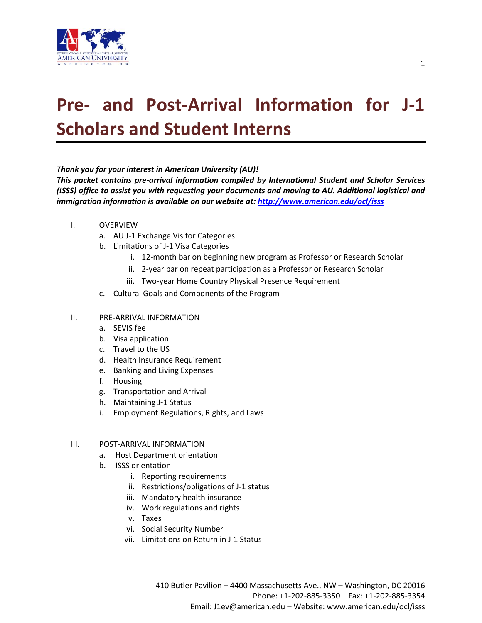

# **Pre- and Post-Arrival Information for J-1 Scholars and Student Interns**

#### *Thank you for your interest in American University (AU)!*

*This packet contains pre-arrival information compiled by International Student and Scholar Services (ISSS) office to assist you with requesting your documents and moving to AU. Additional logistical and immigration information is available on our website at: <http://www.american.edu/ocl/isss>*

- I. OVERVIEW
	- a. AU J-1 Exchange Visitor Categories
	- b. Limitations of J-1 Visa Categories
		- i. 12-month bar on beginning new program as Professor or Research Scholar
		- ii. 2-year bar on repeat participation as a Professor or Research Scholar
		- iii. Two-year Home Country Physical Presence Requirement
	- c. Cultural Goals and Components of the Program

#### II. PRE-ARRIVAL INFORMATION

- a. SEVIS fee
- b. Visa application
- c. Travel to the US
- d. Health Insurance Requirement
- e. Banking and Living Expenses
- f. Housing
- g. Transportation and Arrival
- h. Maintaining J-1 Status
- i. Employment Regulations, Rights, and Laws

#### III. POST-ARRIVAL INFORMATION

- a. Host Department orientation
- b. ISSS orientation
	- i. Reporting requirements
	- ii. Restrictions/obligations of J-1 status
	- iii. Mandatory health insurance
	- iv. Work regulations and rights
	- v. Taxes
	- vi. Social Security Number
	- vii. Limitations on Return in J-1 Status

 410 Butler Pavilion – 4400 Massachusetts Ave., NW – Washington, DC 20016 Phone: +1-202-885-3350 – Fax: +1-202-885-3354 Email: J1ev@american.edu – Website: www.american.edu/ocl/isss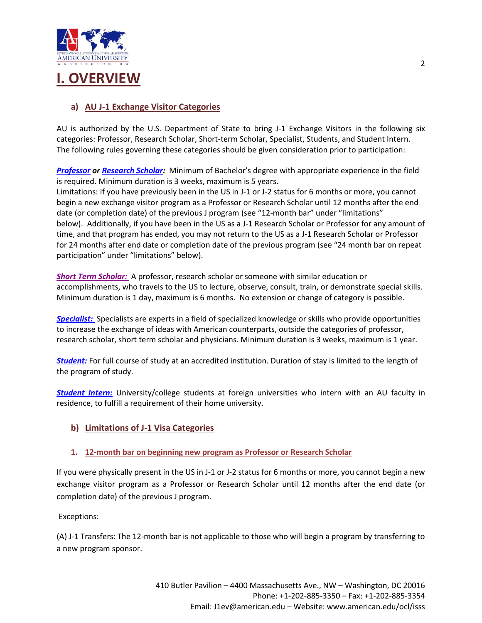

### **a) AU J-1 Exchange Visitor Categories**

AU is authorized by the U.S. Department of State to bring J-1 Exchange Visitors in the following six categories: Professor, Research Scholar, Short-term Scholar, Specialist, Students, and Student Intern. The following rules governing these categories should be given consideration prior to participation:

*[Professor](https://j1visa.state.gov/programs/professor) or [Research Scholar:](https://j1visa.state.gov/programs/research-scholar)* Minimum of Bachelor's degree with appropriate experience in the field is required. Minimum duration is 3 weeks, maximum is 5 years.

Limitations: If you have previously been in the US in J-1 or J-2 status for 6 months or more, you cannot begin a new exchange visitor program as a Professor or Research Scholar until 12 months after the end date (or completion date) of the previous J program (see "12-month bar" under "limitations" below). Additionally, if you have been in the US as a J-1 Research Scholar or Professor for any amount of time, and that program has ended, you may not return to the US as a J-1 Research Scholar or Professor for 24 months after end date or completion date of the previous program (see "24 month bar on repeat participation" under "limitations" below).

*[Short Term Scholar:](http://j1visa.state.gov/programs/short-term-scholar/)* A professor, research scholar or someone with similar education or accomplishments, who travels to the US to lecture, observe, consult, train, or demonstrate special skills. Minimum duration is 1 day, maximum is 6 months. No extension or change of category is possible.

*[Specialist:](http://j1visa.state.gov/programs/specialist/)* Specialists are experts in a field of specialized knowledge or skills who provide opportunities to increase the exchange of ideas with American counterparts, outside the categories of professor, research scholar, short term scholar and physicians. Minimum duration is 3 weeks, maximum is 1 year.

*[Student:](http://j1visa.state.gov/programs/college-and-university-student/)* For full course of study at an accredited institution. Duration of stay is limited to the length of the program of study.

*[Student Intern:](http://j1visa.state.gov/programs/intern/)* University/college students at foreign universities who intern with an AU faculty in residence, to fulfill a requirement of their home university.

#### **b) Limitations of J-1 Visa Categories**

#### **1. 12-month bar on beginning new program as Professor or Research Scholar**

If you were physically present in the US in J-1 or J-2 status for 6 months or more, you cannot begin a new exchange visitor program as a Professor or Research Scholar until 12 months after the end date (or completion date) of the previous J program.

Exceptions:

(A) J-1 Transfers: The 12-month bar is not applicable to those who will begin a program by transferring to a new program sponsor.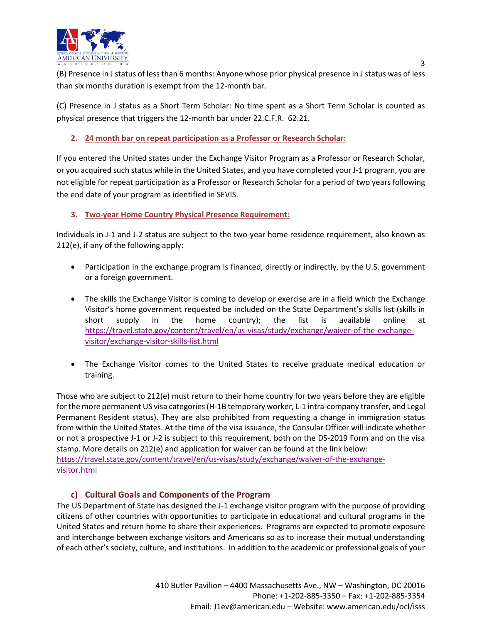

(B) Presence in J status of less than 6 months: Anyone whose prior physical presence in J status was of less than six months duration is exempt from the 12-month bar.

(C) Presence in J status as a Short Term Scholar: No time spent as a Short Term Scholar is counted as physical presence that triggers the 12-month bar under 22.C.F.R. 62.21.

### **2. 24 month bar on repeat participation as a Professor or Research Scholar:**

If you entered the United states under the Exchange Visitor Program as a Professor or Research Scholar, or you acquired such status while in the United States, and you have completed your J-1 program, you are not eligible for repeat participation as a Professor or Research Scholar for a period of two years following the end date of your program as identified in SEVIS.

#### **3. Two-year Home Country Physical Presence Requirement:**

Individuals in J-1 and J-2 status are subject to the two-year home residence requirement, also known as 212(e), if any of the following apply:

- Participation in the exchange program is financed, directly or indirectly, by the U.S. government or a foreign government.
- The skills the Exchange Visitor is coming to develop or exercise are in a field which the Exchange Visitor's home government requested be included on the State Department's skills list (skills in short supply in the home country); the list is available online at [https://travel.state.gov/content/travel/en/us-visas/study/exchange/waiver-of-the-exchange](https://travel.state.gov/content/travel/en/us-visas/study/exchange/waiver-of-the-exchange-visitor/exchange-visitor-skills-list.html)[visitor/exchange-visitor-skills-list.html](https://travel.state.gov/content/travel/en/us-visas/study/exchange/waiver-of-the-exchange-visitor/exchange-visitor-skills-list.html)
- The Exchange Visitor comes to the United States to receive graduate medical education or training.

Those who are subject to 212(e) must return to their home country for two years before they are eligible for the more permanent US visa categories (H-1B temporary worker, L-1 intra-company transfer, and Legal Permanent Resident status). They are also prohibited from requesting a change in immigration status from within the United States. At the time of the visa issuance, the Consular Officer will indicate whether or not a prospective J-1 or J-2 is subject to this requirement, both on the DS-2019 Form and on the visa stamp. More details on 212(e) and application for waiver can be found at the link below: [https://travel.state.gov/content/travel/en/us-visas/study/exchange/waiver-of-the-exchange](https://travel.state.gov/content/travel/en/us-visas/study/exchange/waiver-of-the-exchange-visitor.html)[visitor.html](https://travel.state.gov/content/travel/en/us-visas/study/exchange/waiver-of-the-exchange-visitor.html)

#### **c) Cultural Goals and Components of the Program**

The US Department of State has designed the J-1 exchange visitor program with the purpose of providing citizens of other countries with opportunities to participate in educational and cultural programs in the United States and return home to share their experiences. Programs are expected to promote exposure and interchange between exchange visitors and Americans so as to increase their mutual understanding of each other's society, culture, and institutions. In addition to the academic or professional goals of your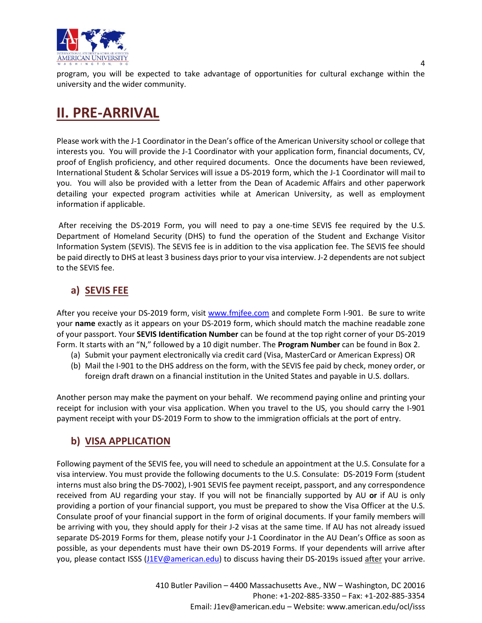

program, you will be expected to take advantage of opportunities for cultural exchange within the university and the wider community.

## **II. PRE-ARRIVAL**

Please work with the J-1 Coordinator in the Dean's office of the American University school or college that interests you. You will provide the J-1 Coordinator with your application form, financial documents, CV, proof of English proficiency, and other required documents. Once the documents have been reviewed, International Student & Scholar Services will issue a DS-2019 form, which the J-1 Coordinator will mail to you. You will also be provided with a letter from the Dean of Academic Affairs and other paperwork detailing your expected program activities while at American University, as well as employment information if applicable.

After receiving the DS-2019 Form, you will need to pay a one-time SEVIS fee required by the U.S. Department of Homeland Security (DHS) to fund the operation of the Student and Exchange Visitor Information System (SEVIS). The SEVIS fee is in addition to the visa application fee. The SEVIS fee should be paid directly to DHS at least 3 business days prior to your visa interview. J-2 dependents are not subject to the SEVIS fee.

### **a) SEVIS FEE**

After you receive your DS-2019 form, visit [www.fmjfee.com](http://www.fmjfee.com/) and complete Form I-901. Be sure to write your **name** exactly as it appears on your DS-2019 form, which should match the machine readable zone of your passport. Your **SEVIS Identification Number** can be found at the top right corner of your DS-2019 Form. It starts with an "N," followed by a 10 digit number. The **Program Number** can be found in Box 2.

- (a) Submit your payment electronically via credit card (Visa, MasterCard or American Express) OR
- (b) Mail the I-901 to the DHS address on the form, with the SEVIS fee paid by check, money order, or foreign draft drawn on a financial institution in the United States and payable in U.S. dollars.

Another person may make the payment on your behalf. We recommend paying online and printing your receipt for inclusion with your visa application. When you travel to the US, you should carry the I-901 payment receipt with your DS-2019 Form to show to the immigration officials at the port of entry.

### **b) VISA APPLICATION**

Following payment of the SEVIS fee, you will need to schedule an appointment at the U.S. Consulate for a visa interview. You must provide the following documents to the U.S. Consulate: DS-2019 Form (student interns must also bring the DS-7002), I-901 SEVIS fee payment receipt, passport, and any correspondence received from AU regarding your stay. If you will not be financially supported by AU **or** if AU is only providing a portion of your financial support, you must be prepared to show the Visa Officer at the U.S. Consulate proof of your financial support in the form of original documents. If your family members will be arriving with you, they should apply for their J-2 visas at the same time. If AU has not already issued separate DS-2019 Forms for them, please notify your J-1 Coordinator in the AU Dean's Office as soon as possible, as your dependents must have their own DS-2019 Forms. If your dependents will arrive after you, please contact ISSS [\(J1EV@american.edu\)](mailto:J1EV@american.edu) to discuss having their DS-2019s issued after your arrive.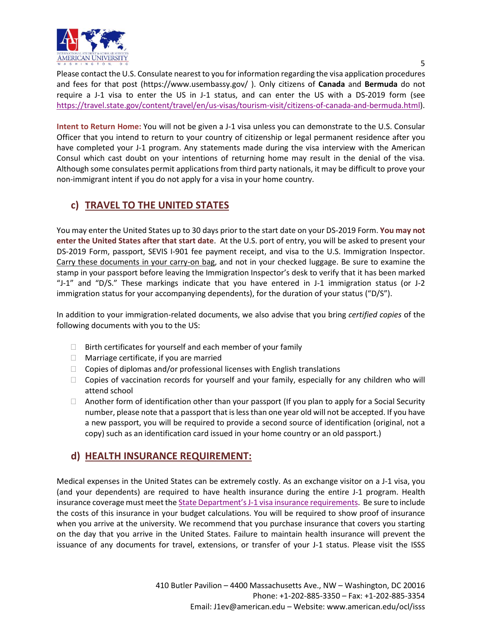

Please contact the U.S. Consulate nearest to you for information regarding the visa application procedures and fees for that post [\(https://www.usembassy.gov/](https://www.usembassy.gov/) ). Only citizens of **Canada** and **Bermuda** do not require a J-1 visa to enter the US in J-1 status, and can enter the US with a DS-2019 form (see [https://travel.state.gov/content/travel/en/us-visas/tourism-visit/citizens-of-canada-and-bermuda.html\)](https://travel.state.gov/content/travel/en/us-visas/tourism-visit/citizens-of-canada-and-bermuda.html).

**Intent to Return Home:** You will not be given a J-1 visa unless you can demonstrate to the U.S. Consular Officer that you intend to return to your country of citizenship or legal permanent residence after you have completed your J-1 program. Any statements made during the visa interview with the American Consul which cast doubt on your intentions of returning home may result in the denial of the visa. Although some consulates permit applications from third party nationals, it may be difficult to prove your non-immigrant intent if you do not apply for a visa in your home country.

### **c) TRAVEL TO THE UNITED STATES**

You may enter the United States up to 30 days prior to the start date on your DS-2019 Form. **You may not enter the United States after that start date**. At the U.S. port of entry, you will be asked to present your DS-2019 Form, passport, SEVIS I-901 fee payment receipt, and visa to the U.S. Immigration Inspector. Carry these documents in your carry-on bag, and not in your checked luggage. Be sure to examine the stamp in your passport before leaving the Immigration Inspector's desk to verify that it has been marked "J-1" and "D/S." These markings indicate that you have entered in J-1 immigration status (or J-2 immigration status for your accompanying dependents), for the duration of your status ("D/S").

In addition to your immigration-related documents, we also advise that you bring *certified copies* of the following documents with you to the US:

- $\Box$  Birth certificates for yourself and each member of your family
- $\Box$  Marriage certificate, if you are married
- $\Box$  Copies of diplomas and/or professional licenses with English translations
- $\Box$  Copies of vaccination records for yourself and your family, especially for any children who will attend school
- $\Box$  Another form of identification other than your passport (If you plan to apply for a Social Security number, please note that a passport that is less than one year old will not be accepted. If you have a new passport, you will be required to provide a second source of identification (original, not a copy) such as an identification card issued in your home country or an old passport.)

### **d) HEALTH INSURANCE REQUIREMENT:**

Medical expenses in the United States can be extremely costly. As an exchange visitor on a J-1 visa, you (and your dependents) are required to have health insurance during the entire J-1 program. Health insurance coverage must meet the State Department's J[-1 visa insurance requirements.](http://www.american.edu/ocl/isss/Incoming-Scholars-and-Student-Interns.cfm) Be sure to include the costs of this insurance in your budget calculations. You will be required to show proof of insurance when you arrive at the university. We recommend that you purchase insurance that covers you starting on the day that you arrive in the United States. Failure to maintain health insurance will prevent the issuance of any documents for travel, extensions, or transfer of your J-1 status. Please visit the ISSS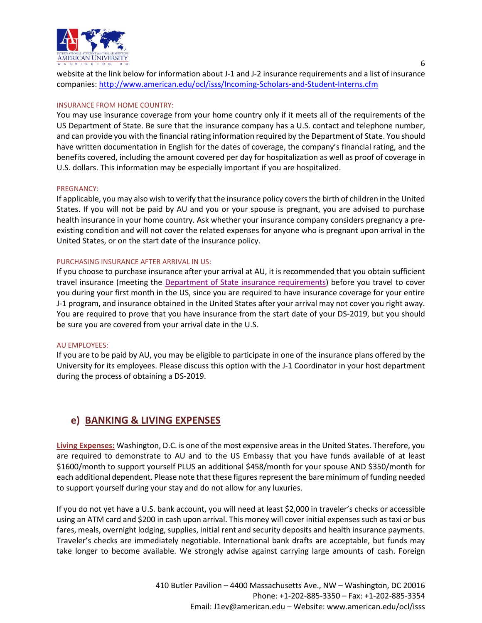

website at the link below for information about J-1 and J-2 insurance requirements and a list of insurance companies:<http://www.american.edu/ocl/isss/Incoming-Scholars-and-Student-Interns.cfm>

#### INSURANCE FROM HOME COUNTRY:

You may use insurance coverage from your home country only if it meets all of the requirements of the US Department of State. Be sure that the insurance company has a U.S. contact and telephone number, and can provide you with the financial rating information required by the Department of State. You should have written documentation in English for the dates of coverage, the company's financial rating, and the benefits covered, including the amount covered per day for hospitalization as well as proof of coverage in U.S. dollars. This information may be especially important if you are hospitalized.

#### PREGNANCY:

If applicable, you may also wish to verify that the insurance policy covers the birth of children in the United States. If you will not be paid by AU and you or your spouse is pregnant, you are advised to purchase health insurance in your home country. Ask whether your insurance company considers pregnancy a preexisting condition and will not cover the related expenses for anyone who is pregnant upon arrival in the United States, or on the start date of the insurance policy.

#### PURCHASING INSURANCE AFTER ARRIVAL IN US:

If you choose to purchase insurance after your arrival at AU, it is recommended that you obtain sufficient travel insurance (meeting the [Department of State insurance requirements\)](https://j1visa.state.gov/sponsors/how-to-administer-a-program/) before you travel to cover you during your first month in the US, since you are required to have insurance coverage for your entire J-1 program, and insurance obtained in the United States after your arrival may not cover you right away. You are required to prove that you have insurance from the start date of your DS-2019, but you should be sure you are covered from your arrival date in the U.S.

#### AU EMPLOYEES:

If you are to be paid by AU, you may be eligible to participate in one of the insurance plans offered by the University for its employees. Please discuss this option with the J-1 Coordinator in your host department during the process of obtaining a DS-2019.

### **e) BANKING & LIVING EXPENSES**

**Living Expenses:** Washington, D.C. is one of the most expensive areas in the United States. Therefore, you are required to demonstrate to AU and to the US Embassy that you have funds available of at least \$1600/month to support yourself PLUS an additional \$458/month for your spouse AND \$350/month for each additional dependent. Please note that these figures represent the bare minimum of funding needed to support yourself during your stay and do not allow for any luxuries.

If you do not yet have a U.S. bank account, you will need at least \$2,000 in traveler's checks or accessible using an ATM card and \$200 in cash upon arrival. This money will cover initial expenses such as taxi or bus fares, meals, overnight lodging, supplies, initial rent and security deposits and health insurance payments. Traveler's checks are immediately negotiable. International bank drafts are acceptable, but funds may take longer to become available. We strongly advise against carrying large amounts of cash. Foreign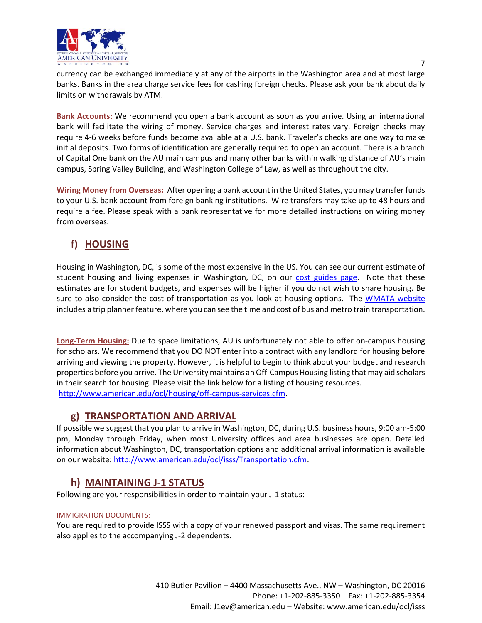

currency can be exchanged immediately at any of the airports in the Washington area and at most large banks. Banks in the area charge service fees for cashing foreign checks. Please ask your bank about daily limits on withdrawals by ATM.

**Bank Accounts:** We recommend you open a bank account as soon as you arrive. Using an international bank will facilitate the wiring of money. Service charges and interest rates vary. Foreign checks may require 4-6 weeks before funds become available at a U.S. bank. Traveler's checks are one way to make initial deposits. Two forms of identification are generally required to open an account. There is a branch of Capital One bank on the AU main campus and many other banks within walking distance of AU's main campus, Spring Valley Building, and Washington College of Law, as well as throughout the city.

**Wiring Money from Overseas:** After opening a bank account in the United States, you may transfer funds to your U.S. bank account from foreign banking institutions. Wire transfers may take up to 48 hours and require a fee. Please speak with a bank representative for more detailed instructions on wiring money from overseas.

### **f) HOUSING**

Housing in Washington, DC, is some of the most expensive in the US. You can see our current estimate of student housing and living expenses in Washington, DC, on our [cost guides page.](http://www.american.edu/ocl/isss/Cost-Guides.cfm) Note that these estimates are for student budgets, and expenses will be higher if you do not wish to share housing. Be sure to also consider the cost of transportation as you look at housing options. The [WMATA website](http://www.wmata.com/) includes a trip planner feature, where you can see the time and cost of bus and metro train transportation.

**Long-Term Housing:** Due to space limitations, AU is unfortunately not able to offer on-campus housing for scholars. We recommend that you DO NOT enter into a contract with any landlord for housing before arriving and viewing the property. However, it is helpful to begin to think about your budget and research properties before you arrive. The University maintains an Off-Campus Housing listing that may aid scholars in their search for housing. Please visit the link below for a listing of housing resources. [http://www.american.edu/ocl/housing/off-campus-services.cfm.](http://www.american.edu/ocl/housing/off-campus-services.cfm)

### **g) TRANSPORTATION AND ARRIVAL**

If possible we suggest that you plan to arrive in Washington, DC, during U.S. business hours, 9:00 am-5:00 pm, Monday through Friday, when most University offices and area businesses are open. Detailed information about Washington, DC, transportation options and additional arrival information is available on our website: [http://www.american.edu/ocl/isss/Transportation.cfm.](http://www.american.edu/ocl/isss/Transportation.cfm)

### **h) MAINTAINING J-1 STATUS**

Following are your responsibilities in order to maintain your J-1 status:

#### IMMIGRATION DOCUMENTS:

You are required to provide ISSS with a copy of your renewed passport and visas. The same requirement also applies to the accompanying J-2 dependents.

> 410 Butler Pavilion – 4400 Massachusetts Ave., NW – Washington, DC 20016 Phone: +1-202-885-3350 – Fax: +1-202-885-3354 Email: J1ev@american.edu – Website: www.american.edu/ocl/isss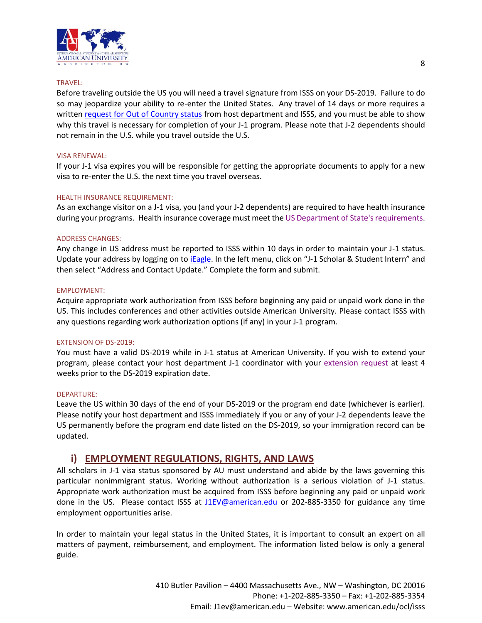

#### TRAVEL:

Before traveling outside the US you will need a travel signature from ISSS on your DS-2019. Failure to do so may jeopardize your ability to re-enter the United States. Any travel of 14 days or more requires a written [request for Out of Country status](https://www.american.edu/ocl/isss/upload/ev-out-of-country-form-2017.pdf) from host department and ISSS, and you must be able to show why this travel is necessary for completion of your J-1 program. Please note that J-2 dependents should not remain in the U.S. while you travel outside the U.S.

#### VISA RENEWAL:

If your J-1 visa expires you will be responsible for getting the appropriate documents to apply for a new visa to re-enter the U.S. the next time you travel overseas.

#### HEALTH INSURANCE REQUIREMENT:

As an exchange visitor on a J-1 visa, you (and your J-2 dependents) are required to have health insurance during your programs. Health insurance coverage must meet th[e US Department of State's requirements.](http://www.american.edu/ocl/isss/Incoming-Scholars-and-Student-Interns.cfm)

#### ADDRESS CHANGES:

Any change in US address must be reported to ISSS within 10 days in order to maintain your J-1 status. Update your address by logging on to *iEagle*. In the left menu, click on "J-1 Scholar & Student Intern" and then select "Address and Contact Update." Complete the form and submit.

#### EMPLOYMENT:

Acquire appropriate work authorization from ISSS before beginning any paid or unpaid work done in the US. This includes conferences and other activities outside American University. Please contact ISSS with any questions regarding work authorization options (if any) in your J-1 program.

#### EXTENSION OF DS-2019:

You must have a valid DS-2019 while in J-1 status at American University. If you wish to extend your program, please contact your host department J-1 coordinator with your [extension request](https://www.american.edu/ocl/isss/upload/ev-program-extension-form.pdf) at least 4 weeks prior to the DS-2019 expiration date.

#### DEPARTURE:

Leave the US within 30 days of the end of your DS-2019 or the program end date (whichever is earlier). Please notify your host department and ISSS immediately if you or any of your J-2 dependents leave the US permanently before the program end date listed on the DS-2019, so your immigration record can be updated.

### **i) EMPLOYMENT REGULATIONS, RIGHTS, AND LAWS**

All scholars in J-1 visa status sponsored by AU must understand and abide by the laws governing this particular nonimmigrant status. Working without authorization is a serious violation of J-1 status. Appropriate work authorization must be acquired from ISSS before beginning any paid or unpaid work done in the US. Please contact ISSS at [J1EV@american.edu](mailto:J1EV@american.edu) or 202-885-3350 for guidance any time employment opportunities arise.

In order to maintain your legal status in the United States, it is important to consult an expert on all matters of payment, reimbursement, and employment. The information listed below is only a general guide.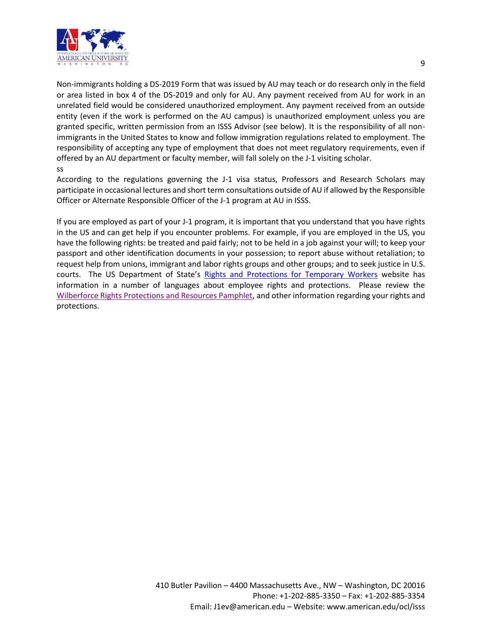

Non-immigrants holding a DS-2019 Form that was issued by AU may teach or do research only in the field or area listed in box 4 of the DS-2019 and only for AU. Any payment received from AU for work in an unrelated field would be considered unauthorized employment. Any payment received from an outside entity (even if the work is performed on the AU campus) is unauthorized employment unless you are granted specific, written permission from an ISSS Advisor (see below). It is the responsibility of all nonimmigrants in the United States to know and follow immigration regulations related to employment. The responsibility of accepting any type of employment that does not meet regulatory requirements, even if offered by an AU department or faculty member, will fall solely on the J-1 visiting scholar. ss

According to the regulations governing the J-1 visa status, Professors and Research Scholars may participate in occasional lectures and short term consultations outside of AU if allowed by the Responsible Officer or Alternate Responsible Officer of the J-1 program at AU in ISSS.

If you are employed as part of your J-1 program, it is important that you understand that you have rights in the US and can get help if you encounter problems. For example, if you are employed in the US, you have the following rights: be treated and paid fairly; not to be held in a job against your will; to keep your passport and other identification documents in your possession; to report abuse without retaliation; to request help from unions, immigrant and labor rights groups and other groups; and to seek justice in U.S. courts. The US Department of State's [Rights and Protections for Temporary Workers](https://travel.state.gov/content/travel/en/us-visas/visa-information-resources/temporary-workers.html) website has information in a number of languages about employee rights and protections. Please review the [Wilberforce Rights Protections](https://travel.state.gov/content/dam/visas/LegalRightsandProtections/Wilberforce/Wilberforce-ENG-100116.pdf) and Resources Pamphlet, and other information regarding your rights and protections.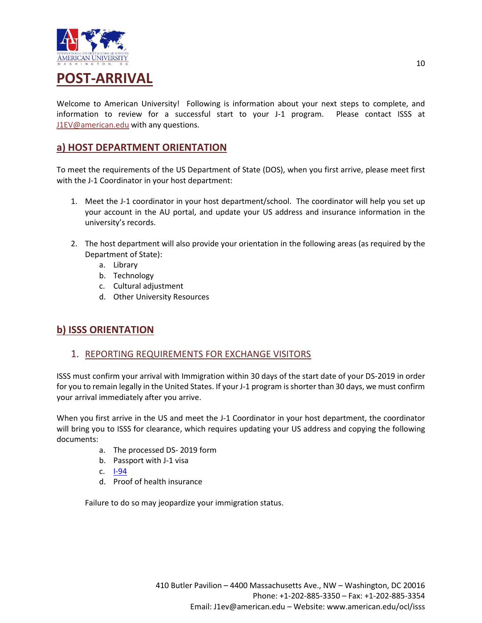

Welcome to American University! Following is information about your next steps to complete, and information to review for a successful start to your J-1 program. Please contact ISSS at [J1EV@american.edu](mailto:J1EV@american.edu) with any questions.

### **a) HOST DEPARTMENT ORIENTATION**

To meet the requirements of the US Department of State (DOS), when you first arrive, please meet first with the J-1 Coordinator in your host department:

- 1. Meet the J-1 coordinator in your host department/school. The coordinator will help you set up your account in the AU portal, and update your US address and insurance information in the university's records.
- 2. The host department will also provide your orientation in the following areas (as required by the Department of State):
	- a. Library
	- b. Technology
	- c. Cultural adjustment
	- d. Other University Resources

### **b) ISSS ORIENTATION**

### 1. REPORTING REQUIREMENTS FOR EXCHANGE VISITORS

ISSS must confirm your arrival with Immigration within 30 days of the start date of your DS-2019 in order for you to remain legally in the United States. If your J-1 program is shorter than 30 days, we must confirm your arrival immediately after you arrive.

When you first arrive in the US and meet the J-1 Coordinator in your host department, the coordinator will bring you to ISSS for clearance, which requires updating your US address and copying the following documents:

- a. The processed DS- 2019 form
- b. Passport with J-1 visa
- c. [I-94](https://i94.cbp.dhs.gov/I94/)
- d. Proof of health insurance

Failure to do so may jeopardize your immigration status.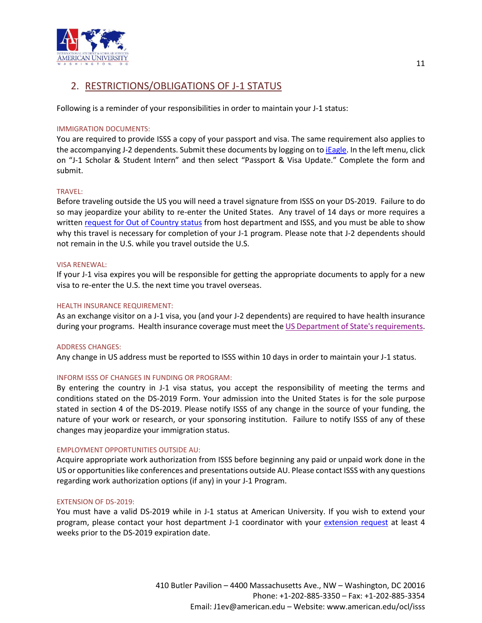

### 2. RESTRICTIONS/OBLIGATIONS OF J-1 STATUS

Following is a reminder of your responsibilities in order to maintain your J-1 status:

#### IMMIGRATION DOCUMENTS:

You are required to provide ISSS a copy of your passport and visa. The same requirement also applies to the accompanying J-2 dependents. Submit these documents by logging on to [iEagle.](https://ieagle.american.edu/) In the left menu, click on "J-1 Scholar & Student Intern" and then select "Passport & Visa Update." Complete the form and submit.

#### TRAVEL:

Before traveling outside the US you will need a travel signature from ISSS on your DS-2019. Failure to do so may jeopardize your ability to re-enter the United States. Any travel of 14 days or more requires a writte[n request for Out of Country status](https://www.american.edu/ocl/isss/upload/ev-out-of-country-form-2017.pdf) from host department and ISSS, and you must be able to show why this travel is necessary for completion of your J-1 program. Please note that J-2 dependents should not remain in the U.S. while you travel outside the U.S.

#### VISA RENEWAL:

If your J-1 visa expires you will be responsible for getting the appropriate documents to apply for a new visa to re-enter the U.S. the next time you travel overseas.

#### HEALTH INSURANCE REQUIREMENT:

As an exchange visitor on a J-1 visa, you (and your J-2 dependents) are required to have health insurance during your programs. Health insurance coverage must meet th[e US Department of State's requirements.](http://www.american.edu/ocl/isss/Current-Scholars-and-Student-Interns.cfm)

#### ADDRESS CHANGES:

Any change in US address must be reported to ISSS within 10 days in order to maintain your J-1 status.

#### INFORM ISSS OF CHANGES IN FUNDING OR PROGRAM:

By entering the country in J-1 visa status, you accept the responsibility of meeting the terms and conditions stated on the DS-2019 Form. Your admission into the United States is for the sole purpose stated in section 4 of the DS-2019. Please notify ISSS of any change in the source of your funding, the nature of your work or research, or your sponsoring institution. Failure to notify ISSS of any of these changes may jeopardize your immigration status.

#### EMPLOYMENT OPPORTUNITIES OUTSIDE AU:

Acquire appropriate work authorization from ISSS before beginning any paid or unpaid work done in the US or opportunities like conferences and presentations outside AU. Please contact ISSS with any questions regarding work authorization options (if any) in your J-1 Program.

#### EXTENSION OF DS-2019:

You must have a valid DS-2019 while in J-1 status at American University. If you wish to extend your program, please contact your host department J-1 coordinator with your [extension request](https://www.american.edu/ocl/isss/upload/ev-program-extension-form.pdf) at least 4 weeks prior to the DS-2019 expiration date.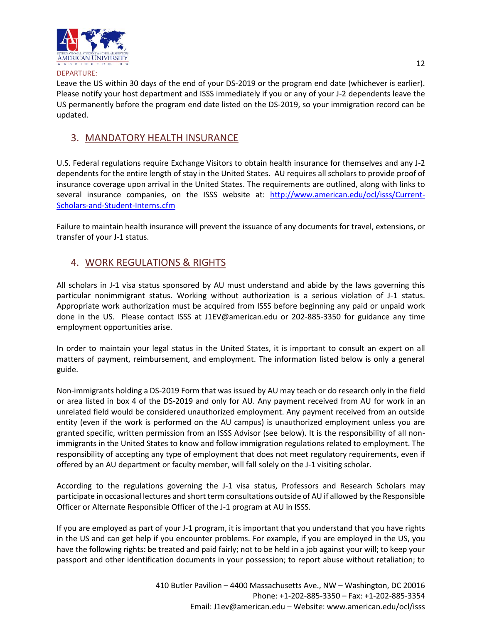

#### DEPARTURE:

Leave the US within 30 days of the end of your DS-2019 or the program end date (whichever is earlier). Please notify your host department and ISSS immediately if you or any of your J-2 dependents leave the US permanently before the program end date listed on the DS-2019, so your immigration record can be updated.

### 3. MANDATORY HEALTH INSURANCE

U.S. Federal regulations require Exchange Visitors to obtain health insurance for themselves and any J-2 dependents for the entire length of stay in the United States. AU requires all scholars to provide proof of insurance coverage upon arrival in the United States. The requirements are outlined, along with links to several insurance companies, on the ISSS website at: [http://www.american.edu/ocl/isss/Current-](http://www.american.edu/ocl/isss/Current-Scholars-and-Student-Interns.cfm)[Scholars-and-Student-Interns.cfm](http://www.american.edu/ocl/isss/Current-Scholars-and-Student-Interns.cfm)

Failure to maintain health insurance will prevent the issuance of any documents for travel, extensions, or transfer of your J-1 status.

### 4. WORK REGULATIONS & RIGHTS

All scholars in J-1 visa status sponsored by AU must understand and abide by the laws governing this particular nonimmigrant status. Working without authorization is a serious violation of J-1 status. Appropriate work authorization must be acquired from ISSS before beginning any paid or unpaid work done in the US. Please contact ISSS at J1EV@american.edu or 202-885-3350 for guidance any time employment opportunities arise.

In order to maintain your legal status in the United States, it is important to consult an expert on all matters of payment, reimbursement, and employment. The information listed below is only a general guide.

Non-immigrants holding a DS-2019 Form that was issued by AU may teach or do research only in the field or area listed in box 4 of the DS-2019 and only for AU. Any payment received from AU for work in an unrelated field would be considered unauthorized employment. Any payment received from an outside entity (even if the work is performed on the AU campus) is unauthorized employment unless you are granted specific, written permission from an ISSS Advisor (see below). It is the responsibility of all nonimmigrants in the United States to know and follow immigration regulations related to employment. The responsibility of accepting any type of employment that does not meet regulatory requirements, even if offered by an AU department or faculty member, will fall solely on the J-1 visiting scholar.

According to the regulations governing the J-1 visa status, Professors and Research Scholars may participate in occasional lectures and short term consultations outside of AU if allowed by the Responsible Officer or Alternate Responsible Officer of the J-1 program at AU in ISSS.

If you are employed as part of your J-1 program, it is important that you understand that you have rights in the US and can get help if you encounter problems. For example, if you are employed in the US, you have the following rights: be treated and paid fairly; not to be held in a job against your will; to keep your passport and other identification documents in your possession; to report abuse without retaliation; to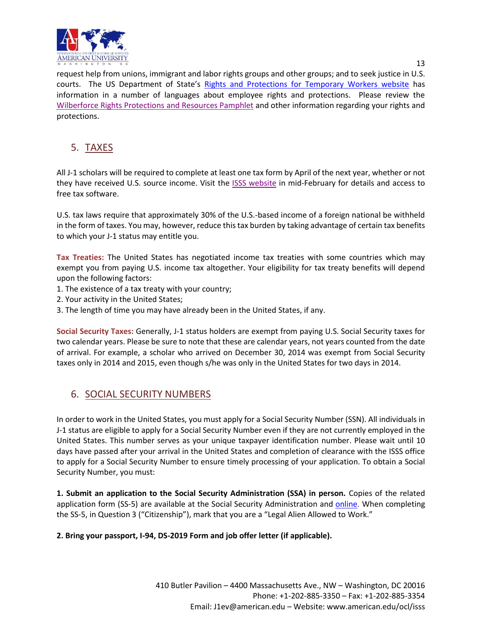

request help from unions, immigrant and labor rights groups and other groups; and to seek justice in U.S. courts. The US Department of State's [Rights and Protections for Temporary Workers website](https://travel.state.gov/content/travel/en/us-visas/visa-information-resources/temporary-workers.html) has information in a number of languages about employee rights and protections. Please review the [Wilberforce Rights Protections](https://travel.state.gov/content/dam/visas/LegalRightsandProtections/Wilberforce/Wilberforce-ENG-100116.pdf) and Resources Pamphlet and other information regarding your rights and protections.

### 5. TAXES

All J-1 scholars will be required to complete at least one tax form by April of the next year, whether or not they have received U.S. source income. Visit the [ISSS website](http://www.american.edu/ocl/isss/taxes.cfm) in mid-February for details and access to free tax software.

U.S. tax laws require that approximately 30% of the U.S.-based income of a foreign national be withheld in the form of taxes. You may, however, reduce this tax burden by taking advantage of certain tax benefits to which your J-1 status may entitle you.

**Tax Treaties:** The United States has negotiated income tax treaties with some countries which may exempt you from paying U.S. income tax altogether. Your eligibility for tax treaty benefits will depend upon the following factors:

- 1. The existence of a tax treaty with your country;
- 2. Your activity in the United States;
- 3. The length of time you may have already been in the United States, if any.

**Social Security Taxes:** Generally, J-1 status holders are exempt from paying U.S. Social Security taxes for two calendar years. Please be sure to note that these are calendar years, not years counted from the date of arrival. For example, a scholar who arrived on December 30, 2014 was exempt from Social Security taxes only in 2014 and 2015, even though s/he was only in the United States for two days in 2014.

### 6. SOCIAL SECURITY NUMBERS

In order to work in the United States, you must apply for a Social Security Number (SSN). All individuals in J-1 status are eligible to apply for a Social Security Number even if they are not currently employed in the United States. This number serves as your unique taxpayer identification number. Please wait until 10 days have passed after your arrival in the United States and completion of clearance with the ISSS office to apply for a Social Security Number to ensure timely processing of your application. To obtain a Social Security Number, you must:

**1. Submit an application to the Social Security Administration (SSA) in person.** Copies of the related application form (SS-5) are available at the Social Security Administration and [online.](https://www.ssa.gov/forms/ss-5.pdf) When completing the SS-5, in Question 3 ("Citizenship"), mark that you are a "Legal Alien Allowed to Work."

### **2. Bring your passport, I-94, DS-2019 Form and job offer letter (if applicable).**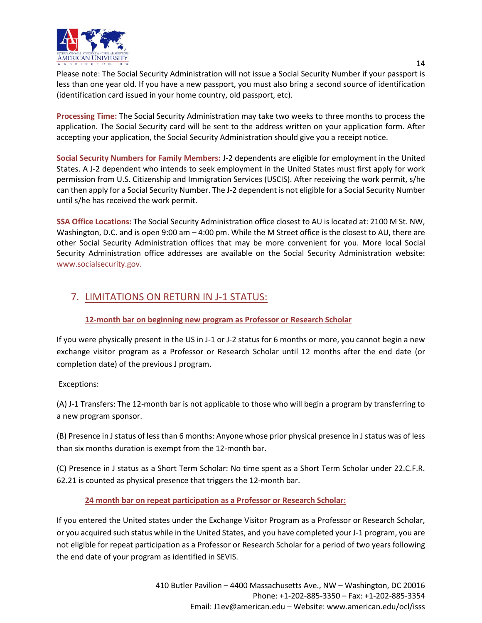

Please note: The Social Security Administration will not issue a Social Security Number if your passport is less than one year old. If you have a new passport, you must also bring a second source of identification (identification card issued in your home country, old passport, etc).

**Processing Time:** The Social Security Administration may take two weeks to three months to process the application. The Social Security card will be sent to the address written on your application form. After accepting your application, the Social Security Administration should give you a receipt notice.

**Social Security Numbers for Family Members:** J-2 dependents are eligible for employment in the United States. A J-2 dependent who intends to seek employment in the United States must first apply for work permission from U.S. Citizenship and Immigration Services (USCIS). After receiving the work permit, s/he can then apply for a Social Security Number. The J-2 dependent is not eligible for a Social Security Number until s/he has received the work permit.

**SSA Office Locations:** The Social Security Administration office closest to AU is located at: 2100 M St. NW, Washington, D.C. and is open 9:00 am  $-$  4:00 pm. While the M Street office is the closest to AU, there are other Social Security Administration offices that may be more convenient for you. More local Social Security Administration office addresses are available on the Social Security Administration website: [www.socialsecurity.gov.](http://www.socialsecurity.gov/)

### 7. LIMITATIONS ON RETURN IN J-1 STATUS:

### **12-month bar on beginning new program as Professor or Research Scholar**

If you were physically present in the US in J-1 or J-2 status for 6 months or more, you cannot begin a new exchange visitor program as a Professor or Research Scholar until 12 months after the end date (or completion date) of the previous J program.

Exceptions:

(A) J-1 Transfers: The 12-month bar is not applicable to those who will begin a program by transferring to a new program sponsor.

(B) Presence in J status of less than 6 months: Anyone whose prior physical presence in J status was of less than six months duration is exempt from the 12-month bar.

(C) Presence in J status as a Short Term Scholar: No time spent as a Short Term Scholar under 22.C.F.R. 62.21 is counted as physical presence that triggers the 12-month bar.

#### **24 month bar on repeat participation as a Professor or Research Scholar:**

If you entered the United states under the Exchange Visitor Program as a Professor or Research Scholar, or you acquired such status while in the United States, and you have completed your J-1 program, you are not eligible for repeat participation as a Professor or Research Scholar for a period of two years following the end date of your program as identified in SEVIS.